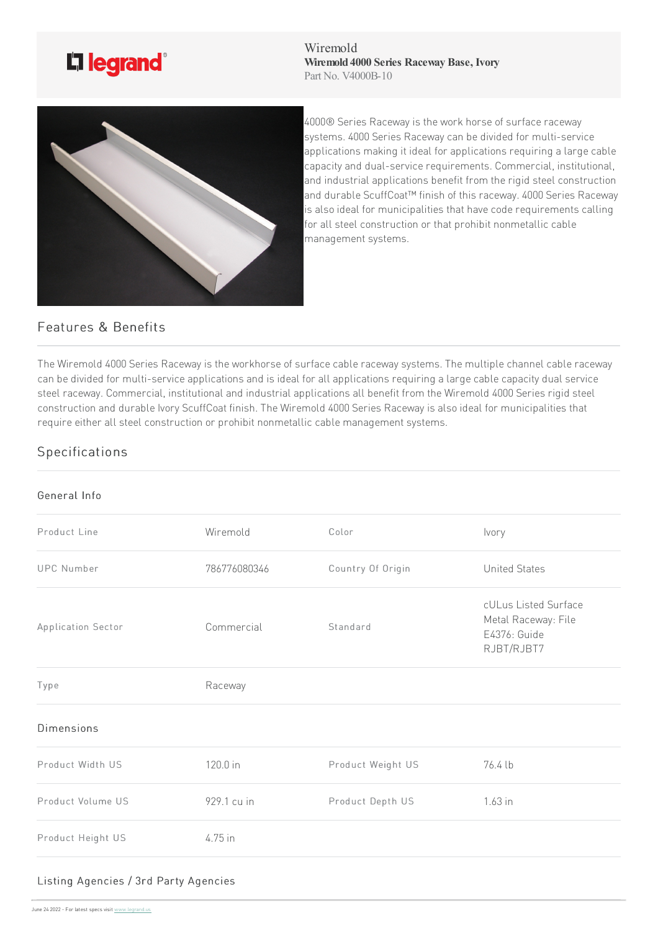

Wiremold **Wiremold 4000 Series Raceway Base, Ivory** Part No. V4000B-10



4000® Series Raceway is the work horse of surface raceway systems. 4000 Series Raceway can be divided for multi-service applications making it ideal for applications requiring a large cable capacity and dual-service requirements. Commercial, institutional, and industrial applications benefit from the rigid steel construction and durable ScuffCoat™ finish of this raceway. 4000 Series Raceway is also ideal for municipalities that have code requirements calling for all steel construction or that prohibit nonmetallic cable management systems.

## Features & Benefits

The Wiremold 4000 Series Raceway is the workhorse of surface cable raceway systems. The multiple channel cable raceway can be divided for multi-service applications and is ideal for all applications requiring a large cable capacity dual service steel raceway. Commercial, institutional and industrial applications all benefit from the Wiremold 4000 Series rigid steel construction and durable Ivory ScuffCoat finish. The Wiremold 4000 Series Raceway is also ideal for municipalities that require either all steel construction or prohibit nonmetallic cable management systems.

## Specifications

## General Info

| Product Line       | Wiremold     | Color             | Ivory                                                                     |
|--------------------|--------------|-------------------|---------------------------------------------------------------------------|
| <b>UPC Number</b>  | 786776080346 | Country Of Origin | <b>United States</b>                                                      |
| Application Sector | Commercial   | Standard          | cULus Listed Surface<br>Metal Raceway: File<br>E4376: Guide<br>RJBT/RJBT7 |
| Type               | Raceway      |                   |                                                                           |
| <b>Dimensions</b>  |              |                   |                                                                           |
| Product Width US   | 120.0 in     | Product Weight US | 76.4 lb                                                                   |
| Product Volume US  | 929.1 cu in  | Product Depth US  | $1.63$ in                                                                 |
| Product Height US  | 4.75 in      |                   |                                                                           |
|                    |              |                   |                                                                           |

## Listing Agencies / [3rd](https://www.legrand.us) Party Agencies